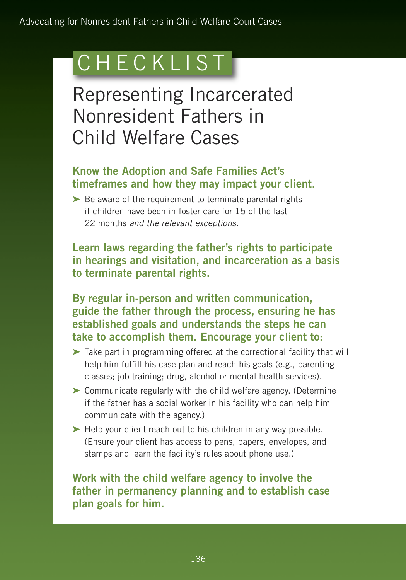# **CHECKLIST**

Representing Incarcerated Nonresident Fathers in Child Welfare Cases

## **Know the Adoption and Safe Families Act's timeframes and how they may impact your client.**

**➤** Be aware of the requirement to terminate parental rights if children have been in foster care for 15 of the last 22 months *and the relevant exceptions.*

**Learn laws regarding the father's rights to participate in hearings and visitation, and incarceration as a basis to terminate parental rights.**

**By regular in-person and written communication, guide the father through the process, ensuring he has established goals and understands the steps he can take to accomplish them. Encourage your client to:**

- **➤** Take part in programming offered at the correctional facility that will help him fulfill his case plan and reach his goals (e.g., parenting classes; job training; drug, alcohol or mental health services).
- **➤** Communicate regularly with the child welfare agency. (Determine if the father has a social worker in his facility who can help him communicate with the agency.)
- **➤** Help your client reach out to his children in any way possible. (Ensure your client has access to pens, papers, envelopes, and stamps and learn the facility's rules about phone use.)

### **Work with the child welfare agency to involve the father in permanency planning and to establish case plan goals for him.**